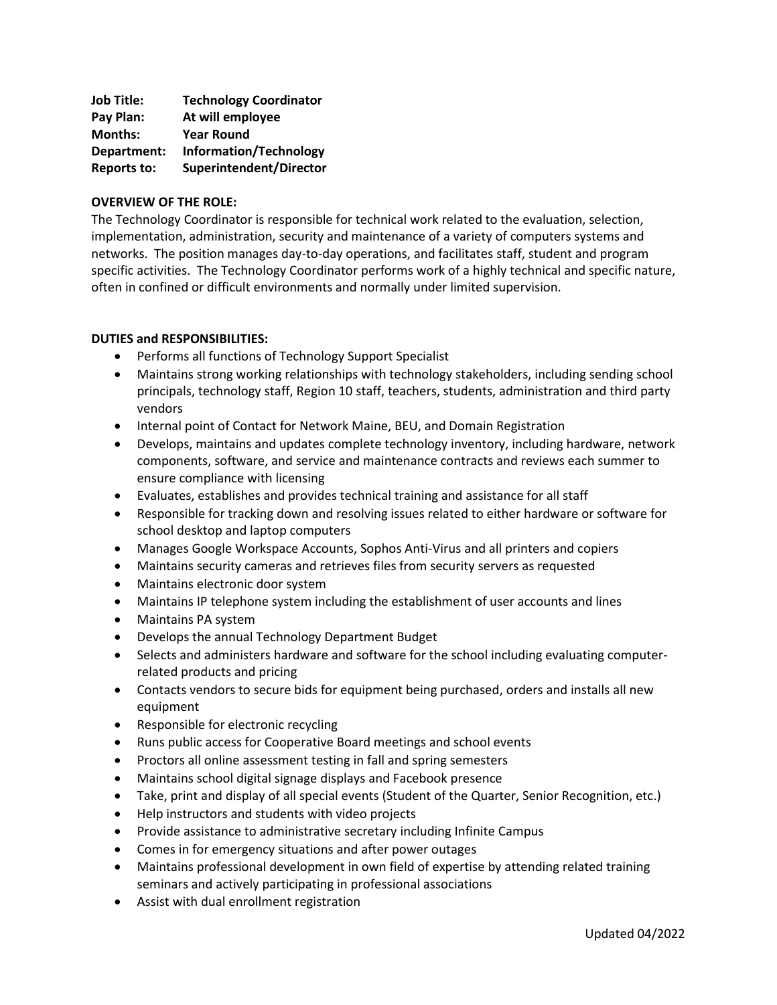| <b>Job Title:</b>  | <b>Technology Coordinator</b> |
|--------------------|-------------------------------|
| Pay Plan:          | At will employee              |
| <b>Months:</b>     | <b>Year Round</b>             |
| Department:        | Information/Technology        |
| <b>Reports to:</b> | Superintendent/Director       |

## **OVERVIEW OF THE ROLE:**

The Technology Coordinator is responsible for technical work related to the evaluation, selection, implementation, administration, security and maintenance of a variety of computers systems and networks. The position manages day-to-day operations, and facilitates staff, student and program specific activities. The Technology Coordinator performs work of a highly technical and specific nature, often in confined or difficult environments and normally under limited supervision.

## **DUTIES and RESPONSIBILITIES:**

- Performs all functions of Technology Support Specialist
- Maintains strong working relationships with technology stakeholders, including sending school principals, technology staff, Region 10 staff, teachers, students, administration and third party vendors
- Internal point of Contact for Network Maine, BEU, and Domain Registration
- Develops, maintains and updates complete technology inventory, including hardware, network components, software, and service and maintenance contracts and reviews each summer to ensure compliance with licensing
- Evaluates, establishes and provides technical training and assistance for all staff
- Responsible for tracking down and resolving issues related to either hardware or software for school desktop and laptop computers
- Manages Google Workspace Accounts, Sophos Anti-Virus and all printers and copiers
- Maintains security cameras and retrieves files from security servers as requested
- Maintains electronic door system
- Maintains IP telephone system including the establishment of user accounts and lines
- Maintains PA system
- Develops the annual Technology Department Budget
- Selects and administers hardware and software for the school including evaluating computerrelated products and pricing
- Contacts vendors to secure bids for equipment being purchased, orders and installs all new equipment
- Responsible for electronic recycling
- Runs public access for Cooperative Board meetings and school events
- Proctors all online assessment testing in fall and spring semesters
- Maintains school digital signage displays and Facebook presence
- Take, print and display of all special events (Student of the Quarter, Senior Recognition, etc.)
- Help instructors and students with video projects
- Provide assistance to administrative secretary including Infinite Campus
- Comes in for emergency situations and after power outages
- Maintains professional development in own field of expertise by attending related training seminars and actively participating in professional associations
- Assist with dual enrollment registration